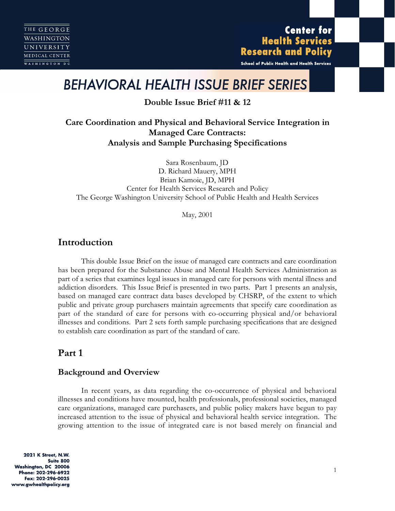**Center for Health Services Research and Policy** 

School of Public Health and Health Services

# *BEHAVIORAL HEALTH ISSUE BRIEF SERIES*

# **Double Issue Brief #11 & 12**

# **Care Coordination and Physical and Behavioral Service Integration in Managed Care Contracts: Analysis and Sample Purchasing Specifications**

Sara Rosenbaum, JD D. Richard Mauery, MPH Brian Kamoie, JD, MPH Center for Health Services Research and Policy The George Washington University School of Public Health and Health Services

May, 2001

# **Introduction**

This double Issue Brief on the issue of managed care contracts and care coordination has been prepared for the Substance Abuse and Mental Health Services Administration as part of a series that examines legal issues in managed care for persons with mental illness and addiction disorders. This Issue Brief is presented in two parts. Part 1 presents an analysis, based on managed care contract data bases developed by CHSRP, of the extent to which public and private group purchasers maintain agreements that specify care coordination as part of the standard of care for persons with co-occurring physical and/or behavioral illnesses and conditions. Part 2 sets forth sample purchasing specifications that are designed to establish care coordination as part of the standard of care.

# **Part 1**

# **Background and Overview**

In recent years, as data regarding the co-occurrence of physical and behavioral illnesses and conditions have mounted, health professionals, professional societies, managed care organizations, managed care purchasers, and public policy makers have begun to pay increased attention to the issue of physical and behavioral health service integration. The growing attention to the issue of integrated care is not based merely on financial and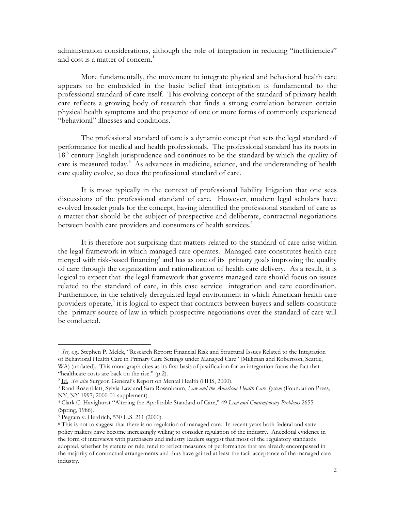administration considerations, although the role of integration in reducing "inefficiencies" and cost is a matter of concern.<sup>1</sup>

More fundamentally, the movement to integrate physical and behavioral health care appears to be embedded in the basic belief that integration is fundamental to the professional standard of care itself. This evolving concept of the standard of primary health care reflects a growing body of research that finds a strong correlation between certain physical health symptoms and the presence of one or more forms of commonly experienced "behavioral" illnesses and conditions.<sup>2</sup>

The professional standard of care is a dynamic concept that sets the legal standard of performance for medical and health professionals. The professional standard has its roots in 18<sup>th</sup> century English jurisprudence and continues to be the standard by which the quality of care is measured today.<sup>3</sup> As advances in medicine, science, and the understanding of health care quality evolve, so does the professional standard of care.

It is most typically in the context of professional liability litigation that one sees discussions of the professional standard of care. However, modern legal scholars have evolved broader goals for the concept, having identified the professional standard of care as a matter that should be the subject of prospective and deliberate, contractual negotiations between health care providers and consumers of health services.<sup>4</sup>

It is therefore not surprising that matters related to the standard of care arise within the legal framework in which managed care operates. Managed care constitutes health care merged with risk-based financing<sup>5</sup> and has as one of its primary goals improving the quality of care through the organization and rationalization of health care delivery. As a result, it is logical to expect that the legal framework that governs managed care should focus on issues related to the standard of care, in this case service integration and care coordination. Furthermore, in the relatively deregulated legal environment in which American health care providers operate,<sup>6</sup> it is logical to expect that contracts between buyers and sellers constitute the primary source of law in which prospective negotiations over the standard of care will be conducted.

 <sup>1</sup> *See, e.g.,* Stephen P. Melek, "Research Report: Financial Risk and Structural Issues Related to the Integration of Behavioral Health Care in Primary Care Settings under Managed Care" (Milliman and Robertson, Seattle, WA) (undated). This monograph cites as its first basis of justification for an integration focus the fact that "healthcare costs are back on the rise!" (p.2).

<sup>2</sup> Id. *See also* Surgeon General's Report on Mental Health (HHS, 2000).

<sup>3</sup> Rand Rosenblatt, Sylvia Law and Sara Rosenbaum, *Law and the American Health Care System* (Foundation Press, NY, NY 1997; 2000-01 supplement)

<sup>4</sup> Clark C. Havighurst "Altering the Applicable Standard of Care," 49 *Law and Contemporary Problems* 2655 (Spring, 1986).

<sup>5</sup> Pegram v. Herdrich*,* 530 U.S. 211 (2000).

<sup>&</sup>lt;sup>6</sup> This is not to suggest that there is no regulation of managed care. In recent years both federal and state policy makers have become increasingly willing to consider regulation of the industry. Anecdotal evidence in the form of interviews with purchasers and industry leaders suggest that most of the regulatory standards adopted, whether by statute or rule, tend to reflect measures of performance that are already encompassed in the majority of contractual arrangements and thus have gained at least the tacit acceptance of the managed care industry.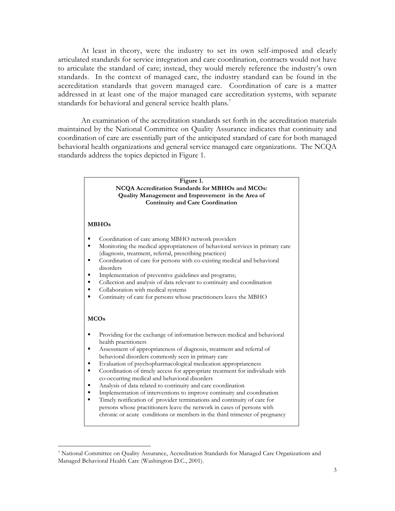At least in theory, were the industry to set its own self-imposed and clearly articulated standards for service integration and care coordination, contracts would not have to articulate the standard of care; instead, they would merely reference the industry's own standards. In the context of managed care, the industry standard can be found in the accreditation standards that govern managed care. Coordination of care is a matter addressed in at least one of the major managed care accreditation systems, with separate standards for behavioral and general service health plans.<sup>7</sup>

An examination of the accreditation standards set forth in the accreditation materials maintained by the National Committee on Quality Assurance indicates that continuity and coordination of care are essentially part of the anticipated standard of care for both managed behavioral health organizations and general service managed care organizations. The NCQA standards address the topics depicted in Figure 1.



 <sup>7</sup> National Committee on Quality Assurance, Accreditation Standards for Managed Care Organizations and Managed Behavioral Health Care (Washington D.C., 2001).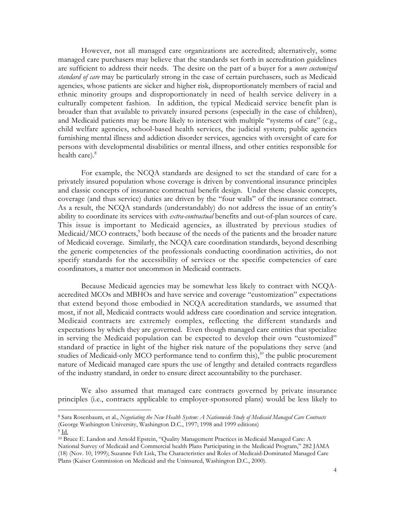However, not all managed care organizations are accredited; alternatively, some managed care purchasers may believe that the standards set forth in accreditation guidelines are sufficient to address their needs. The desire on the part of a buyer for a *more customized standard of care* may be particularly strong in the case of certain purchasers, such as Medicaid agencies, whose patients are sicker and higher risk, disproportionately members of racial and ethnic minority groups and disproportionately in need of health service delivery in a culturally competent fashion. In addition, the typical Medicaid service benefit plan is broader than that available to privately insured persons (especially in the case of children), and Medicaid patients may be more likely to intersect with multiple "systems of care" (e.g., child welfare agencies, school-based health services, the judicial system; public agencies furnishing mental illness and addiction disorder services, agencies with oversight of care for persons with developmental disabilities or mental illness, and other entities responsible for health care). $8<sup>8</sup>$ 

For example, the NCQA standards are designed to set the standard of care for a privately insured population whose coverage is driven by conventional insurance principles and classic concepts of insurance contractual benefit design. Under these classic concepts, coverage (and thus service) duties are driven by the "four walls" of the insurance contract. As a result, the NCQA standards (understandably) do not address the issue of an entity's ability to coordinate its services with *extra-contractual* benefits and out-of-plan sources of care. This issue is important to Medicaid agencies, as illustrated by previous studies of Medicaid/MCO contracts, $9$  both because of the needs of the patients and the broader nature of Medicaid coverage. Similarly, the NCQA care coordination standards, beyond describing the generic competencies of the professionals conducting coordination activities, do not specify standards for the accessibility of services or the specific competencies of care coordinators, a matter not uncommon in Medicaid contracts.

Because Medicaid agencies may be somewhat less likely to contract with NCQAaccredited MCOs and MBHOs and have service and coverage "customization" expectations that extend beyond those embodied in NCQA accreditation standards, we assumed that most, if not all, Medicaid contracts would address care coordination and service integration. Medicaid contracts are extremely complex, reflecting the different standards and expectations by which they are governed. Even though managed care entities that specialize in serving the Medicaid population can be expected to develop their own "customized" standard of practice in light of the higher risk nature of the populations they serve (and studies of Medicaid-only MCO performance tend to confirm this),<sup>10</sup> the public procurement nature of Medicaid managed care spurs the use of lengthy and detailed contracts regardless of the industry standard, in order to ensure direct accountability to the purchaser.

We also assumed that managed care contracts governed by private insurance principles (i.e., contracts applicable to employer-sponsored plans) would be less likely to

 $9$  Id.

 <sup>8</sup> Sara Rosenbaum, et al., *Negotiating the New Health System: A Nationwide Study of Medicaid Managed Care Contracts* (George Washington University, Washington D.C., 1997; 1998 and 1999 editions)

<sup>10</sup> Bruce E. Landon and Arnold Epstein, "Quality Management Practices in Medicaid Managed Care: A National Survey of Medicaid and Commercial health Plans Participating in the Medicaid Program," 282 JAMA (18) (Nov. 10, 1999); Suzanne Felt Lisk, The Characteristics and Roles of Medicaid-Dominated Managed Care Plans (Kaiser Commission on Medicaid and the Uninsured, Washington D.C., 2000).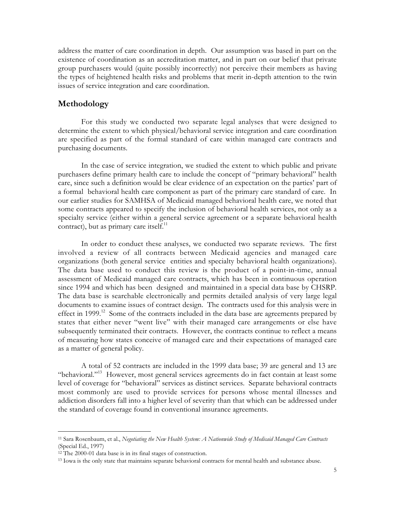address the matter of care coordination in depth. Our assumption was based in part on the existence of coordination as an accreditation matter, and in part on our belief that private group purchasers would (quite possibly incorrectly) not perceive their members as having the types of heightened health risks and problems that merit in-depth attention to the twin issues of service integration and care coordination.

#### **Methodology**

For this study we conducted two separate legal analyses that were designed to determine the extent to which physical/behavioral service integration and care coordination are specified as part of the formal standard of care within managed care contracts and purchasing documents.

In the case of service integration, we studied the extent to which public and private purchasers define primary health care to include the concept of "primary behavioral" health care, since such a definition would be clear evidence of an expectation on the parties' part of a formal behavioral health care component as part of the primary care standard of care. In our earlier studies for SAMHSA of Medicaid managed behavioral health care, we noted that some contracts appeared to specify the inclusion of behavioral health services, not only as a specialty service (either within a general service agreement or a separate behavioral health contract), but as primary care itself. $^{11}$ 

In order to conduct these analyses, we conducted two separate reviews. The first involved a review of all contracts between Medicaid agencies and managed care organizations (both general service entities and specialty behavioral health organizations). The data base used to conduct this review is the product of a point-in-time, annual assessment of Medicaid managed care contracts, which has been in continuous operation since 1994 and which has been designed and maintained in a special data base by CHSRP. The data base is searchable electronically and permits detailed analysis of very large legal documents to examine issues of contract design. The contracts used for this analysis were in effect in 1999.<sup>12</sup> Some of the contracts included in the data base are agreements prepared by states that either never "went live" with their managed care arrangements or else have subsequently terminated their contracts. However, the contracts continue to reflect a means of measuring how states conceive of managed care and their expectations of managed care as a matter of general policy.

A total of 52 contracts are included in the 1999 data base; 39 are general and 13 are "behavioral."<sup>13</sup> However, most general services agreements do in fact contain at least some level of coverage for "behavioral" services as distinct services. Separate behavioral contracts most commonly are used to provide services for persons whose mental illnesses and addiction disorders fall into a higher level of severity than that which can be addressed under the standard of coverage found in conventional insurance agreements.

 <sup>11</sup> Sara Rosenbaum, et al., *Negotiating the New Health System: A Nationwide Study of Medicaid Managed Care Contracts* (Special Ed., 1997)

<sup>12</sup> The 2000-01 data base is in its final stages of construction.

<sup>13</sup> Iowa is the only state that maintains separate behavioral contracts for mental health and substance abuse.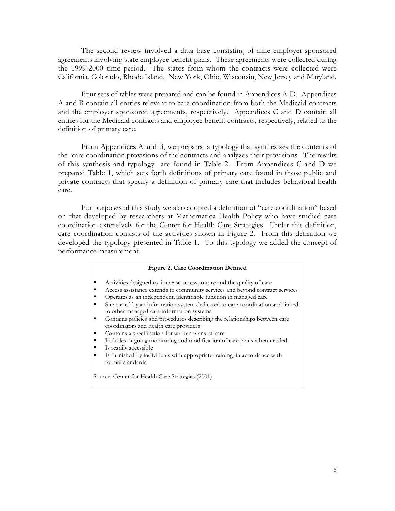The second review involved a data base consisting of nine employer-sponsored agreements involving state employee benefit plans. These agreements were collected during the 1999-2000 time period. The states from whom the contracts were collected were California, Colorado, Rhode Island, New York, Ohio, Wisconsin, New Jersey and Maryland.

Four sets of tables were prepared and can be found in Appendices A-D. Appendices A and B contain all entries relevant to care coordination from both the Medicaid contracts and the employer sponsored agreements, respectively. Appendices C and D contain all entries for the Medicaid contracts and employee benefit contracts, respectively, related to the definition of primary care.

From Appendices A and B, we prepared a typology that synthesizes the contents of the care coordination provisions of the contracts and analyzes their provisions. The results of this synthesis and typology are found in Table 2. From Appendices C and D we prepared Table 1, which sets forth definitions of primary care found in those public and private contracts that specify a definition of primary care that includes behavioral health care.

For purposes of this study we also adopted a definition of "care coordination" based on that developed by researchers at Mathematica Health Policy who have studied care coordination extensively for the Center for Health Care Strategies. Under this definition, care coordination consists of the activities shown in Figure 2. From this definition we developed the typology presented in Table 1. To this typology we added the concept of performance measurement.

#### **Figure 2. Care Coordination Defined**

- Activities designed to increase access to care and the quality of care
- Access assistance extends to community services and beyond contract services
- Operates as an independent, identifiable function in managed care
- Supported by an information system dedicated to care coordination and linked to other managed care information systems
- Contains policies and procedures describing the relationships between care coordinators and health care providers
- Contains a specification for written plans of care
- Includes ongoing monitoring and modification of care plans when needed
- Is readily accessible
- Is furnished by individuals with appropriate training, in accordance with formal standards

Source: Center for Health Care Strategies (2001)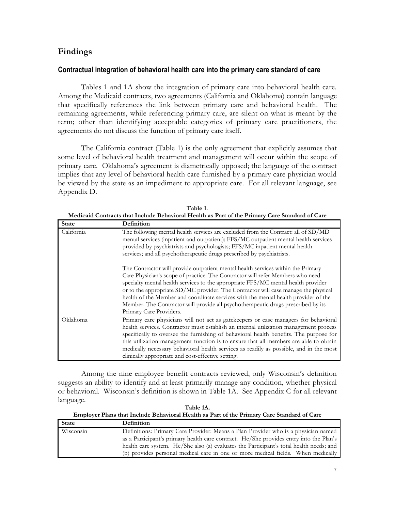# **Findings**

## **Contractual integration of behavioral health care into the primary care standard of care**

Tables 1 and 1A show the integration of primary care into behavioral health care. Among the Medicaid contracts, two agreements (California and Oklahoma) contain language that specifically references the link between primary care and behavioral health. The remaining agreements, while referencing primary care, are silent on what is meant by the term; other than identifying acceptable categories of primary care practitioners, the agreements do not discuss the function of primary care itself.

The California contract (Table 1) is the only agreement that explicitly assumes that some level of behavioral health treatment and management will occur within the scope of primary care. Oklahoma's agreement is diametrically opposed; the language of the contract implies that any level of behavioral health care furnished by a primary care physician would be viewed by the state as an impediment to appropriate care. For all relevant language, see Appendix D.

| <b>State</b> | Definition                                                                                                                                                                                                                                                                                                                                                                                                                                                                                                                                           |
|--------------|------------------------------------------------------------------------------------------------------------------------------------------------------------------------------------------------------------------------------------------------------------------------------------------------------------------------------------------------------------------------------------------------------------------------------------------------------------------------------------------------------------------------------------------------------|
| California   | The following mental health services are excluded from the Contract: all of SD/MD<br>mental services (inpatient and outpatient); FFS/MC outpatient mental health services<br>provided by psychiatrists and psychologists; FFS/MC inpatient mental health<br>services; and all psychotherapeutic drugs prescribed by psychiatrists.                                                                                                                                                                                                                   |
|              | The Contractor will provide outpatient mental health services within the Primary<br>Care Physician's scope of practice. The Contractor will refer Members who need<br>specialty mental health services to the appropriate FFS/MC mental health provider<br>or to the appropriate SD/MC provider. The Contractor will case manage the physical<br>health of the Member and coordinate services with the mental health provider of the<br>Member. The Contractor will provide all psychotherapeutic drugs prescribed by its<br>Primary Care Providers. |
| Oklahoma     | Primary care physicians will not act as gatekeepers or case managers for behavioral<br>health services. Contractor must establish an internal utilization management process<br>specifically to oversee the furnishing of behavioral health benefits. The purpose for<br>this utilization management function is to ensure that all members are able to obtain<br>medically necessary behavioral health services as readily as possible, and in the most<br>clinically appropriate and cost-effective setting.                                       |

**Table 1. Medicaid Contracts that Include Behavioral Health as Part of the Primary Care Standard of Care**

Among the nine employee benefit contracts reviewed, only Wisconsin's definition suggests an ability to identify and at least primarily manage any condition, whether physical or behavioral. Wisconsin's definition is shown in Table 1A. See Appendix C for all relevant language.

**Table 1A. Employer Plans that Include Behavioral Health as Part of the Primary Care Standard of Care**

| <b>State</b> | Definition                                                                              |
|--------------|-----------------------------------------------------------------------------------------|
| Wisconsin    | Definitions: Primary Care Provider: Means a Plan Provider who is a physician named      |
|              | as a Participant's primary health care contract. He/She provides entry into the Plan's  |
|              | health care system. He/She also (a) evaluates the Participant's total health needs; and |
|              | (b) provides personal medical care in one or more medical fields. When medically        |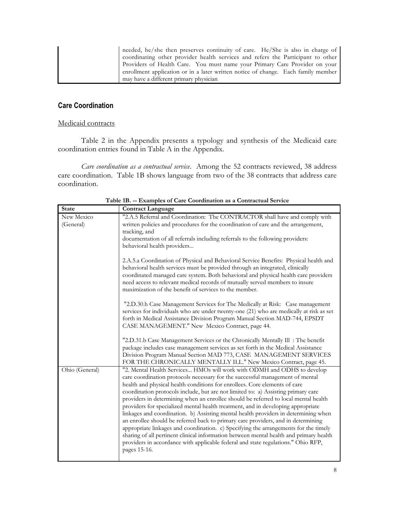|  | needed, he/she then preserves continuity of care. He/She is also in charge of     |
|--|-----------------------------------------------------------------------------------|
|  | coordinating other provider health services and refers the Participant to other   |
|  | Providers of Health Care. You must name your Primary Care Provider on your        |
|  | enrollment application or in a later written notice of change. Each family member |
|  | may have a different primary physician                                            |

# **Care Coordination**

#### Medicaid contracts

Table 2 in the Appendix presents a typology and synthesis of the Medicaid care coordination entries found in Table A in the Appendix.

*Care coordination as a contractual service*. Among the 52 contracts reviewed, 38 address care coordination. Table 1B shows language from two of the 38 contracts that address care coordination.

| <b>State</b>            | <b>Contract Language</b>                                                                                                                                                                                                                                                                                                                                                                                                                                                                                                                                                                                                                                                                                                                                                                                                                                                                                                                                                  |
|-------------------------|---------------------------------------------------------------------------------------------------------------------------------------------------------------------------------------------------------------------------------------------------------------------------------------------------------------------------------------------------------------------------------------------------------------------------------------------------------------------------------------------------------------------------------------------------------------------------------------------------------------------------------------------------------------------------------------------------------------------------------------------------------------------------------------------------------------------------------------------------------------------------------------------------------------------------------------------------------------------------|
| New Mexico<br>(General) | "2.A.5 Referral and Coordination: The CONTRACTOR shall have and comply with<br>written policies and procedures for the coordination of care and the arrangement,<br>tracking, and<br>documentation of all referrals including referrals to the following providers:<br>behavioral health providers                                                                                                                                                                                                                                                                                                                                                                                                                                                                                                                                                                                                                                                                        |
|                         | 2.A.5.a Coordination of Physical and Behavioral Service Benefits: Physical health and<br>behavioral health services must be provided through an integrated, clinically<br>coordinated managed care system. Both behavioral and physical health care providers<br>need access to relevant medical records of mutually served members to insure<br>maximization of the benefit of services to the member.                                                                                                                                                                                                                                                                                                                                                                                                                                                                                                                                                                   |
|                         | "2.D.30.h Case Management Services for The Medically at Risk: Case management<br>services for individuals who are under twenty-one (21) who are medically at risk as set<br>forth in Medical Assistance Division Program Manual Section MAD-744, EPSDT<br>CASE MANAGEMENT." New Mexico Contract, page 44.                                                                                                                                                                                                                                                                                                                                                                                                                                                                                                                                                                                                                                                                 |
|                         | "2.D.31.b Case Management Services or the Chronically Mentally Ill : The benefit<br>package includes case management services as set forth in the Medical Assistance<br>Division Program Manual Section MAD 773, CASE MANAGEMENT SERVICES<br>FOR THE CHRONICALLY MENTALLY ILL." New Mexico Contract, page 45.                                                                                                                                                                                                                                                                                                                                                                                                                                                                                                                                                                                                                                                             |
| Ohio (General)          | "2. Mental Health Services HMOs will work with ODMH and ODHS to develop<br>care coordination protocols necessary for the successful management of mental<br>health and physical health conditions for enrollees. Core elements of care<br>coordination protocols include, but are not limited to: a) Assisting primary care<br>providers in determining when an enrollee should be referred to local mental health<br>providers for specialized mental health treatment, and in developing appropriate<br>linkages and coordination. b) Assisting mental health providers in determining when<br>an enrollee should be referred back to primary care providers, and in determining<br>appropriate linkages and coordination. c) Specifying the arrangements for the timely<br>sharing of all pertinent clinical information between mental health and primary health<br>providers in accordance with applicable federal and state regulations." Ohio RFP,<br>pages 15-16. |

**Table 1B. -- Examples of Care Coordination as a Contractual Service**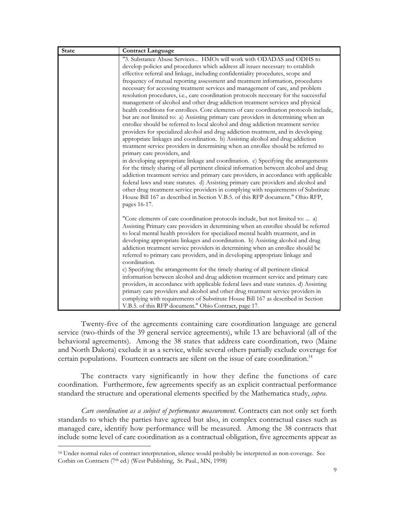| <b>State</b> | <b>Contract Language</b>                                                                                                                                                                                                                                                                                                                                                                                                                                                                                                                                                                                                                                                                                                                                                                                                                                                                                                                                                                                                                                                                                                                                                                                                                                                                                                                                                                                                                                                                                                                                                                                                                                                                          |
|--------------|---------------------------------------------------------------------------------------------------------------------------------------------------------------------------------------------------------------------------------------------------------------------------------------------------------------------------------------------------------------------------------------------------------------------------------------------------------------------------------------------------------------------------------------------------------------------------------------------------------------------------------------------------------------------------------------------------------------------------------------------------------------------------------------------------------------------------------------------------------------------------------------------------------------------------------------------------------------------------------------------------------------------------------------------------------------------------------------------------------------------------------------------------------------------------------------------------------------------------------------------------------------------------------------------------------------------------------------------------------------------------------------------------------------------------------------------------------------------------------------------------------------------------------------------------------------------------------------------------------------------------------------------------------------------------------------------------|
|              | "3. Substance Abuse Services HMOs will work with ODADAS and ODHS to<br>develop policies and procedures which address all issues necessary to establish<br>effective referral and linkage, including confidentiality procedures, scope and<br>frequency of mutual reporting assessment and treatment information, procedures<br>necessary for accessing treatment services and management of care, and problem<br>resolution procedures, i.e., care coordination protocols necessary for the successful<br>management of alcohol and other drug addiction treatment services and physical<br>health conditions for enrollees. Core elements of care coordination protocols include,<br>but are not limited to: a) Assisting primary care providers in determining when an<br>enrollee should be referred to local alcohol and drug addiction treatment service<br>providers for specialized alcohol and drug addiction treatment, and in developing<br>appropriate linkages and coordination. b) Assisting alcohol and drug addiction<br>treatment service providers in determining when an enrollee should be referred to<br>primary care providers, and<br>in developing appropriate linkage and coordination. c) Specifying the arrangements<br>for the timely sharing of all pertinent clinical information between alcohol and drug<br>addiction treatment service and primary care providers, in accordance with applicable<br>federal laws and state statutes. d) Assisting primary care providers and alcohol and<br>other drug treatment service providers in complying with requirements of Substitute<br>House Bill 167 as described in Section V.B.5. of this RFP document." Ohio RFP, |
|              | pages 16-17.<br>"Core elements of care coordination protocols include, but not limited to:  a)<br>Assisting Primary care providers in determining when an enrollee should be referred<br>to local mental health providers for specialized mental health treatment, and in<br>developing appropriate linkages and coordination. b) Assisting alcohol and drug<br>addiction treatment service providers in determining when an enrollee should be<br>referred to primary care providers, and in developing appropriate linkage and<br>coordination.<br>c) Specifying the arrangements for the timely sharing of all pertinent clinical<br>information between alcohol and drug addiction treatment service and primary care<br>providers, in accordance with applicable federal laws and state statutes. d) Assisting<br>primary care providers and alcohol and other drug treatment service providers in<br>complying with requirements of Substitute House Bill 167 as described in Section<br>V.B.5. of this RFP document." Ohio Contract, page 17.                                                                                                                                                                                                                                                                                                                                                                                                                                                                                                                                                                                                                                              |

Twenty-five of the agreements containing care coordination language are general service (two-thirds of the 39 general service agreements), while 13 are behavioral (all of the behavioral agreements). Among the 38 states that address care coordination, two (Maine and North Dakota) exclude it as a service, while several others partially exclude coverage for certain populations. Fourteen contracts are silent on the issue of care coordination.<sup>14</sup>

The contracts vary significantly in how they define the functions of care coordination. Furthermore, few agreements specify as an explicit contractual performance standard the structure and operational elements specified by the Mathematica study, *supra*.

*Care coordination as a subject of performance measurement.* Contracts can not only set forth standards to which the parties have agreed but also, in complex contractual cases such as managed care, identify how performance will be measured. Among the 38 contracts that include some level of care coordination as a contractual obligation, five agreements appear as

 <sup>14</sup> Under normal rules of contract interpretation, silence would probably be interpreted as non-coverage. See Corbin on Contracts (7<sup>th</sup> ed.) (West Publishing, St. Paul., MN, 1998)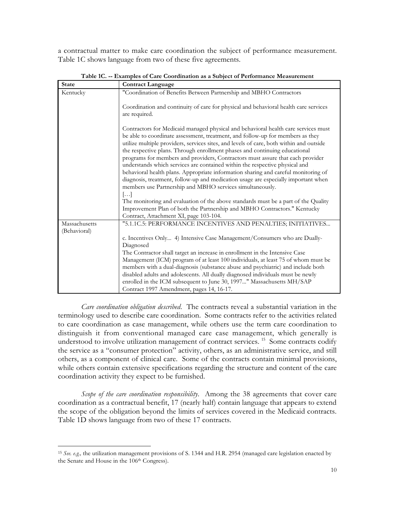a contractual matter to make care coordination the subject of performance measurement. Table 1C shows language from two of these five agreements.

| <b>State</b>  | <b>Contract Language</b>                                                                                                                                                                                                                                                                                                                                                                                                                                                                                                                                                                                                                                                                                                                                              |
|---------------|-----------------------------------------------------------------------------------------------------------------------------------------------------------------------------------------------------------------------------------------------------------------------------------------------------------------------------------------------------------------------------------------------------------------------------------------------------------------------------------------------------------------------------------------------------------------------------------------------------------------------------------------------------------------------------------------------------------------------------------------------------------------------|
| Kentucky      | "Coordination of Benefits Between Partnership and MBHO Contractors                                                                                                                                                                                                                                                                                                                                                                                                                                                                                                                                                                                                                                                                                                    |
|               | Coordination and continuity of care for physical and behavioral health care services<br>are required.                                                                                                                                                                                                                                                                                                                                                                                                                                                                                                                                                                                                                                                                 |
|               | Contractors for Medicaid managed physical and behavioral health care services must<br>be able to coordinate assessment, treatment, and follow-up for members as they<br>utilize multiple providers, services sites, and levels of care, both within and outside<br>the respective plans. Through enrollment phases and continuing educational<br>programs for members and providers, Contractors must assure that each provider<br>understands which services are contained within the respective physical and<br>behavioral health plans. Appropriate information sharing and careful monitoring of<br>diagnosis, treatment, follow-up and medication usage are especially important when<br>members use Partnership and MBHO services simultaneously.<br>$[\ldots]$ |
|               | The monitoring and evaluation of the above standards must be a part of the Quality<br>Improvement Plan of both the Partnership and MBHO Contractors." Kentucky<br>Contract, Attachment XI, page 103-104.                                                                                                                                                                                                                                                                                                                                                                                                                                                                                                                                                              |
| Massachusetts | "5.1.1C.5: PERFORMANCE INCENTIVES AND PENALTIES; INITIATIVES                                                                                                                                                                                                                                                                                                                                                                                                                                                                                                                                                                                                                                                                                                          |
| (Behavioral)  |                                                                                                                                                                                                                                                                                                                                                                                                                                                                                                                                                                                                                                                                                                                                                                       |
|               | c. Incentives Only 4) Intensive Case Management/Consumers who are Dually-                                                                                                                                                                                                                                                                                                                                                                                                                                                                                                                                                                                                                                                                                             |
|               | Diagnosed                                                                                                                                                                                                                                                                                                                                                                                                                                                                                                                                                                                                                                                                                                                                                             |
|               | The Contractor shall target an increase in enrollment in the Intensive Case                                                                                                                                                                                                                                                                                                                                                                                                                                                                                                                                                                                                                                                                                           |
|               | Management (ICM) program of at least 100 individuals, at least 75 of whom must be                                                                                                                                                                                                                                                                                                                                                                                                                                                                                                                                                                                                                                                                                     |
|               | members with a dual-diagnosis (substance abuse and psychiatric) and include both<br>disabled adults and adolescents. All dually diagnosed individuals must be newly                                                                                                                                                                                                                                                                                                                                                                                                                                                                                                                                                                                                   |
|               | enrolled in the ICM subsequent to June 30, 1997" Massachusetts MH/SAP                                                                                                                                                                                                                                                                                                                                                                                                                                                                                                                                                                                                                                                                                                 |
|               | Contract 1997 Amendment, pages 14, 16-17.                                                                                                                                                                                                                                                                                                                                                                                                                                                                                                                                                                                                                                                                                                                             |

**Table 1C. -- Examples of Care Coordination as a Subject of Performance Measurement**

*Care coordination obligation described*. The contracts reveal a substantial variation in the terminology used to describe care coordination. Some contracts refer to the activities related to care coordination as case management, while others use the term care coordination to distinguish it from conventional managed care case management, which generally is understood to involve utilization management of contract services.<sup>15</sup> Some contracts codify the service as a "consumer protection" activity, others, as an administrative service, and still others, as a component of clinical care. Some of the contracts contain minimal provisions, while others contain extensive specifications regarding the structure and content of the care coordination activity they expect to be furnished.

*Scope of the care coordination responsibility*. Among the 38 agreements that cover care coordination as a contractual benefit, 17 (nearly half) contain language that appears to extend the scope of the obligation beyond the limits of services covered in the Medicaid contracts. Table 1D shows language from two of these 17 contracts.

 <sup>15</sup> *See. e.g.,* the utilization management provisions of S. 1344 and H.R. 2954 (managed care legislation enacted by the Senate and House in the 106<sup>th</sup> Congress).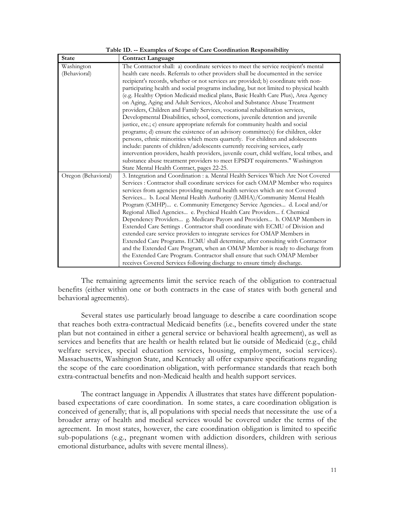| <b>State</b>        | <b>Contract Language</b>                                                                   |
|---------------------|--------------------------------------------------------------------------------------------|
| Washington          | The Contractor shall: a) coordinate services to meet the service recipient's mental        |
| (Behavioral)        | health care needs. Referrals to other providers shall be documented in the service         |
|                     | recipient's records, whether or not services are provided; b) coordinate with non-         |
|                     | participating health and social programs including, but not limited to physical health     |
|                     | (e.g. Healthy Option Medicaid medical plans, Basic Health Care Plus), Area Agency          |
|                     | on Aging, Aging and Adult Services, Alcohol and Substance Abuse Treatment                  |
|                     | providers, Children and Family Services, vocational rehabilitation services,               |
|                     | Developmental Disabilities, school, corrections, juvenile detention and juvenile           |
|                     | justice, etc.; c) ensure appropriate referrals for community health and social             |
|                     | programs; d) ensure the existence of an advisory committee(s) for children, older          |
|                     | persons, ethnic minorities which meets quarterly. For children and adolescents             |
|                     | include: parents of children/adolescents currently receiving services, early               |
|                     | intervention providers, health providers, juvenile court, child welfare, local tribes, and |
|                     | substance abuse treatment providers to meet EPSDT requirements." Washington                |
|                     | State Mental Health Contract, pages 22-25.                                                 |
| Oregon (Behavioral) | 3. Integration and Coordination : a. Mental Health Services Which Are Not Covered          |
|                     | Services : Contractor shall coordinate services for each OMAP Member who requires          |
|                     | services from agencies providing mental health services which are not Covered              |
|                     | Services b. Local Mental Health Authority (LMHA)/Community Mental Health                   |
|                     | Program (CMHP) c. Community Emergency Service Agencies d. Local and/or                     |
|                     | Regional Allied Agencies e. Psychical Health Care Providers f. Chemical                    |
|                     | Dependency Providers g. Medicare Payors and Providers h. OMAP Members in                   |
|                     | Extended Care Settings . Contractor shall coordinate with ECMU of Division and             |
|                     | extended care service providers to integrate services for OMAP Members in                  |
|                     | Extended Care Programs. ECMU shall determine, after consulting with Contractor             |
|                     | and the Extended Care Program, when an OMAP Member is ready to discharge from              |
|                     | the Extended Care Program. Contractor shall ensure that such OMAP Member                   |
|                     | receives Covered Services following discharge to ensure timely discharge.                  |

**Table 1D. -- Examples of Scope of Care Coordination Responsibility**

The remaining agreements limit the service reach of the obligation to contractual benefits (either within one or both contracts in the case of states with both general and behavioral agreements).

Several states use particularly broad language to describe a care coordination scope that reaches both extra-contractual Medicaid benefits (i.e., benefits covered under the state plan but not contained in either a general service or behavioral health agreement), as well as services and benefits that are health or health related but lie outside of Medicaid (e.g., child welfare services, special education services, housing, employment, social services). Massachusetts, Washington State, and Kentucky all offer expansive specifications regarding the scope of the care coordination obligation, with performance standards that reach both extra-contractual benefits and non-Medicaid health and health support services.

The contract language in Appendix A illustrates that states have different populationbased expectations of care coordination. In some states, a care coordination obligation is conceived of generally; that is, all populations with special needs that necessitate the use of a broader array of health and medical services would be covered under the terms of the agreement. In most states, however, the care coordination obligation is limited to specific sub-populations (e.g., pregnant women with addiction disorders, children with serious emotional disturbance, adults with severe mental illness).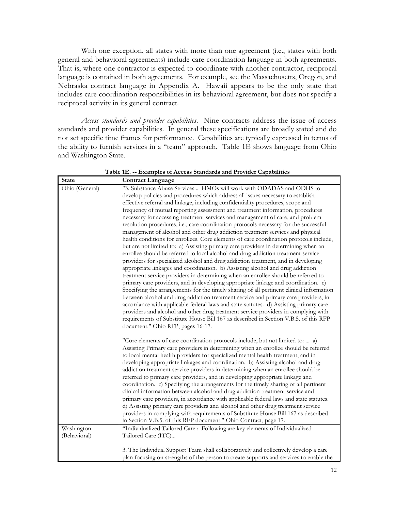With one exception, all states with more than one agreement (i.e., states with both general and behavioral agreements) include care coordination language in both agreements. That is, where one contractor is expected to coordinate with another contractor, reciprocal language is contained in both agreements. For example, see the Massachusetts, Oregon, and Nebraska contract language in Appendix A. Hawaii appears to be the only state that includes care coordination responsibilities in its behavioral agreement, but does not specify a reciprocal activity in its general contract.

*Access standards and provider capabilities*. Nine contracts address the issue of access standards and provider capabilities. In general these specifications are broadly stated and do not set specific time frames for performance. Capabilities are typically expressed in terms of the ability to furnish services in a "team" approach. Table 1E shows language from Ohio and Washington State.

| <b>State</b>   | Contract Language                                                                        |
|----------------|------------------------------------------------------------------------------------------|
| Ohio (General) | "3. Substance Abuse Services HMOs will work with ODADAS and ODHS to                      |
|                | develop policies and procedures which address all issues necessary to establish          |
|                | effective referral and linkage, including confidentiality procedures, scope and          |
|                | frequency of mutual reporting assessment and treatment information, procedures           |
|                | necessary for accessing treatment services and management of care, and problem           |
|                | resolution procedures, i.e., care coordination protocols necessary for the successful    |
|                | management of alcohol and other drug addiction treatment services and physical           |
|                | health conditions for enrollees. Core elements of care coordination protocols include,   |
|                | but are not limited to: a) Assisting primary care providers in determining when an       |
|                | enrollee should be referred to local alcohol and drug addiction treatment service        |
|                | providers for specialized alcohol and drug addiction treatment, and in developing        |
|                | appropriate linkages and coordination. b) Assisting alcohol and drug addiction           |
|                | treatment service providers in determining when an enrollee should be referred to        |
|                | primary care providers, and in developing appropriate linkage and coordination. c)       |
|                | Specifying the arrangements for the timely sharing of all pertinent clinical information |
|                | between alcohol and drug addiction treatment service and primary care providers, in      |
|                | accordance with applicable federal laws and state statutes. d) Assisting primary care    |
|                | providers and alcohol and other drug treatment service providers in complying with       |
|                | requirements of Substitute House Bill 167 as described in Section V.B.5. of this RFP     |
|                | document." Ohio RFP, pages 16-17.                                                        |
|                | "Core elements of care coordination protocols include, but not limited to:  a)           |
|                | Assisting Primary care providers in determining when an enrollee should be referred      |
|                | to local mental health providers for specialized mental health treatment, and in         |
|                | developing appropriate linkages and coordination. b) Assisting alcohol and drug          |
|                | addiction treatment service providers in determining when an enrollee should be          |
|                | referred to primary care providers, and in developing appropriate linkage and            |
|                | coordination. c) Specifying the arrangements for the timely sharing of all pertinent     |
|                | clinical information between alcohol and drug addiction treatment service and            |
|                | primary care providers, in accordance with applicable federal laws and state statutes.   |
|                | d) Assisting primary care providers and alcohol and other drug treatment service         |
|                | providers in complying with requirements of Substitute House Bill 167 as described       |
|                | in Section V.B.5. of this RFP document." Ohio Contract, page 17.                         |
| Washington     | "Individualized Tailored Care: Following are key elements of Individualized              |
| (Behavioral)   | Tailored Care (ITC)                                                                      |
|                |                                                                                          |
|                | 3. The Individual Support Team shall collaboratively and collectively develop a care     |
|                | plan focusing on strengths of the person to create supports and services to enable the   |

**Table 1E. -- Examples of Access Standards and Provider Capabilities**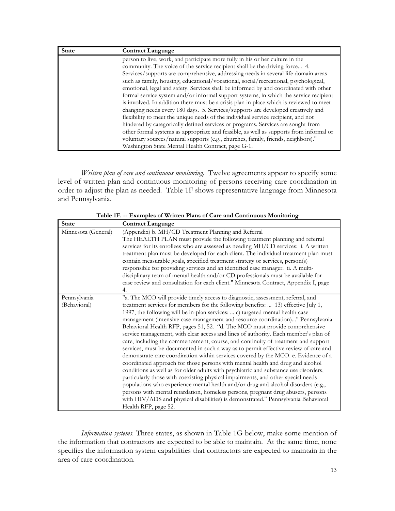| <b>State</b> | <b>Contract Language</b>                                                                |
|--------------|-----------------------------------------------------------------------------------------|
|              | person to live, work, and participate more fully in his or her culture in the           |
|              | community. The voice of the service recipient shall be the driving force 4.             |
|              | Services/supports are comprehensive, addressing needs in several life domain areas      |
|              | such as family, housing, educational/vocational, social/recreational, psychological,    |
|              | emotional, legal and safety. Services shall be informed by and coordinated with other   |
|              | formal service system and/or informal support systems, in which the service recipient   |
|              | is involved. In addition there must be a crisis plan in place which is reviewed to meet |
|              | changing needs every 180 days. 5. Services/supports are developed creatively and        |
|              | flexibility to meet the unique needs of the individual service recipient, and not       |
|              | hindered by categorically defined services or programs. Services are sought from        |
|              | other formal systems as appropriate and feasible, as well as supports from informal or  |
|              | voluntary sources/natural supports (e.g., churches, family, friends, neighbors)."       |
|              | Washington State Mental Health Contract, page G-1.                                      |

*Written plan of care and continuous monitoring*. Twelve agreements appear to specify some level of written plan and continuous monitoring of persons receiving care coordination in order to adjust the plan as needed. Table 1F shows representative language from Minnesota and Pennsylvania.

| <b>State</b>                 | <b>Contract Language</b>                                                                                                                                                                                                                                                                                                                                                                                                                                                                                                                                                                                                                                                                                                                                                                                                                                                                                                                                                                                                                                                                                                                                                                                                                                                                                                              |
|------------------------------|---------------------------------------------------------------------------------------------------------------------------------------------------------------------------------------------------------------------------------------------------------------------------------------------------------------------------------------------------------------------------------------------------------------------------------------------------------------------------------------------------------------------------------------------------------------------------------------------------------------------------------------------------------------------------------------------------------------------------------------------------------------------------------------------------------------------------------------------------------------------------------------------------------------------------------------------------------------------------------------------------------------------------------------------------------------------------------------------------------------------------------------------------------------------------------------------------------------------------------------------------------------------------------------------------------------------------------------|
| Minnesota (General)          | (Appendix) b. MH/CD Treatment Planning and Referral<br>The HEALTH PLAN must provide the following treatment planning and referral<br>services for its enrollees who are assessed as needing MH/CD services: i. A written<br>treatment plan must be developed for each client. The individual treatment plan must<br>contain measurable goals, specified treatment strategy or services, person(s)                                                                                                                                                                                                                                                                                                                                                                                                                                                                                                                                                                                                                                                                                                                                                                                                                                                                                                                                     |
|                              | responsible for providing services and an identified case manager. ii. A multi-<br>disciplinary team of mental health and/or CD professionals must be available for<br>case review and consultation for each client." Minnesota Contract, Appendix I, page<br>4.                                                                                                                                                                                                                                                                                                                                                                                                                                                                                                                                                                                                                                                                                                                                                                                                                                                                                                                                                                                                                                                                      |
| Pennsylvania<br>(Behavioral) | "a. The MCO will provide timely access to diagnostic, assessment, referral, and<br>treatment services for members for the following benefits:  13) effective July 1,<br>1997, the following will be in-plan services:  c) targeted mental health case<br>management (intensive case management and resource coordination)" Pennsylvania<br>Behavioral Health RFP, pages 51, 52. "d. The MCO must provide comprehensive<br>service management, with clear access and lines of authority. Each member's plan of<br>care, including the commencement, course, and continuity of treatment and support<br>services, must be documented in such a way as to permit effective review of care and<br>demonstrate care coordination within services covered by the MCO. e. Evidence of a<br>coordinated approach for those persons with mental health and drug and alcohol<br>conditions as well as for older adults with psychiatric and substance use disorders,<br>particularly those with coexisting physical impairments, and other special needs<br>populations who experience mental health and/or drug and alcohol disorders (e.g.,<br>persons with mental retardation, homeless persons, pregnant drug abusers, persons<br>with HIV/ADS and physical disabilities) is demonstrated." Pennsylvania Behavioral<br>Health RFP, page 52. |

**Table 1F. -- Examples of Written Plans of Care and Continuous Monitoring**

*Information systems.* Three states, as shown in Table 1G below, make some mention of the information that contractors are expected to be able to maintain. At the same time, none specifies the information system capabilities that contractors are expected to maintain in the area of care coordination.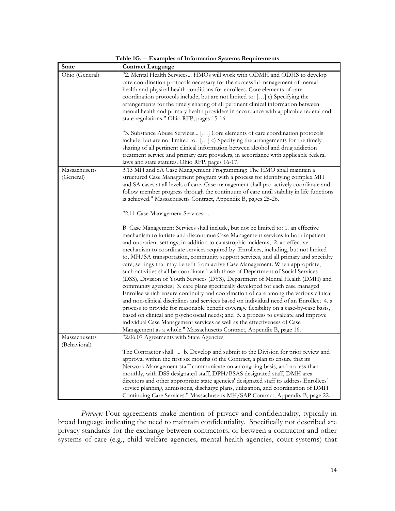|                            | radic TO. -- LAampics of Hilomianon Systems Requirements                                                                                                                                                                                                                                                                                                                                                                                                                                                                                                                                                                                                                                                                                                                                                                                                                                                                                                                                                                                                                                                                                                                                                                                                                                                |
|----------------------------|---------------------------------------------------------------------------------------------------------------------------------------------------------------------------------------------------------------------------------------------------------------------------------------------------------------------------------------------------------------------------------------------------------------------------------------------------------------------------------------------------------------------------------------------------------------------------------------------------------------------------------------------------------------------------------------------------------------------------------------------------------------------------------------------------------------------------------------------------------------------------------------------------------------------------------------------------------------------------------------------------------------------------------------------------------------------------------------------------------------------------------------------------------------------------------------------------------------------------------------------------------------------------------------------------------|
| <b>State</b>               | <b>Contract Language</b>                                                                                                                                                                                                                                                                                                                                                                                                                                                                                                                                                                                                                                                                                                                                                                                                                                                                                                                                                                                                                                                                                                                                                                                                                                                                                |
| Ohio (General)             | "2. Mental Health Services HMOs will work with ODMH and ODHS to develop<br>care coordination protocols necessary for the successful management of mental<br>health and physical health conditions for enrollees. Core elements of care<br>coordination protocols include, but are not limited to: [] c) Specifying the<br>arrangements for the timely sharing of all pertinent clinical information between<br>mental health and primary health providers in accordance with applicable federal and<br>state regulations." Ohio RFP, pages 15-16.                                                                                                                                                                                                                                                                                                                                                                                                                                                                                                                                                                                                                                                                                                                                                       |
|                            | "3. Substance Abuse Services [] Core elements of care coordination protocols<br>include, but are not limited to: [] c) Specifying the arrangements for the timely<br>sharing of all pertinent clinical information between alcohol and drug addiction<br>treatment service and primary care providers, in accordance with applicable federal<br>laws and state statutes. Ohio RFP, pages 16-17.                                                                                                                                                                                                                                                                                                                                                                                                                                                                                                                                                                                                                                                                                                                                                                                                                                                                                                         |
| Massachusetts<br>(General) | 3.13 MH and SA Case Management Programming: The HMO shall maintain a<br>structured Case Management program with a process for identifying complex MH<br>and SA cases at all levels of care. Case management shall pro-actively coordinate and<br>follow member progress through the continuum of care until stability in life functions<br>is achieved." Massachusetts Contract, Appendix B, pages 25-26.                                                                                                                                                                                                                                                                                                                                                                                                                                                                                                                                                                                                                                                                                                                                                                                                                                                                                               |
|                            | "2.11 Case Management Services:                                                                                                                                                                                                                                                                                                                                                                                                                                                                                                                                                                                                                                                                                                                                                                                                                                                                                                                                                                                                                                                                                                                                                                                                                                                                         |
| Massachusetts              | B. Case Management Services shall include, but not be limited to: 1. an effective<br>mechanism to initiate and discontinue Case Management services in both inpatient<br>and outpatient settings, in addition to catastrophic incidents; 2. an effective<br>mechanism to coordinate services required by Enrollees, including, but not limited<br>to, MH/SA transportation, community support services, and all primary and specialty<br>care; settings that may benefit from active Case Management. When appropriate,<br>such activities shall be coordinated with those of Department of Social Services<br>(DSS), Division of Youth Services (DYS), Department of Mental Health (DMH) and<br>community agencies; 3. care plans specifically developed for each case managed<br>Enrollee which ensure continuity and coordination of care among the various clinical<br>and non-clinical disciplines and services based on individual need of an Enrollee; 4. a<br>process to provide for reasonable benefit coverage flexibility on a case-by-case basis,<br>based on clinical and psychosocial needs; and 5. a process to evaluate and improve<br>individual Case Management services as well as the effectiveness of Case<br>Management as a whole." Massachusetts Contract, Appendix B, page 16. |
|                            | "2.06.07 Agreements with State Agencies                                                                                                                                                                                                                                                                                                                                                                                                                                                                                                                                                                                                                                                                                                                                                                                                                                                                                                                                                                                                                                                                                                                                                                                                                                                                 |
| (Behavioral)               | The Contractor shall:  b. Develop and submit to the Division for prior review and<br>approval within the first six months of the Contract, a plan to ensure that its<br>Network Management staff communicate on an ongoing basis, and no less than<br>monthly, with DSS designated staff, DPH/BSAS designated staff, DMH area<br>directors and other appropriate state agencies' designated staff to address Enrollees'<br>service planning, admissions, discharge plans, utilization, and coordination of DMH<br>Continuing Care Services." Massachusetts MH/SAP Contract, Appendix B, page 22.                                                                                                                                                                                                                                                                                                                                                                                                                                                                                                                                                                                                                                                                                                        |

Table 1G. -- Examples of Information Systems Requirements

*Privacy:* Four agreements make mention of privacy and confidentiality, typically in broad language indicating the need to maintain confidentiality. Specifically not described are privacy standards for the exchange between contractors, or between a contractor and other systems of care (e.g., child welfare agencies, mental health agencies, court systems) that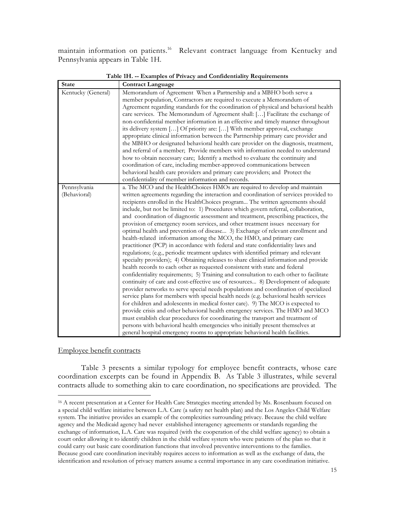maintain information on patients.<sup>16</sup> Relevant contract language from Kentucky and Pennsylvania appears in Table 1H.

| <b>State</b>                 | <b>Contract Language</b>                                                                                                                                                                                                                                                                                                                                                                                                                                                                                                                                                                                                                                                                                                                                                                                                                                                                                                                                                                                                                                                                                                                                                                                                                                                                                                                                                                                                                                                                                                                                                                                                                                                                                                                                                                                                     |
|------------------------------|------------------------------------------------------------------------------------------------------------------------------------------------------------------------------------------------------------------------------------------------------------------------------------------------------------------------------------------------------------------------------------------------------------------------------------------------------------------------------------------------------------------------------------------------------------------------------------------------------------------------------------------------------------------------------------------------------------------------------------------------------------------------------------------------------------------------------------------------------------------------------------------------------------------------------------------------------------------------------------------------------------------------------------------------------------------------------------------------------------------------------------------------------------------------------------------------------------------------------------------------------------------------------------------------------------------------------------------------------------------------------------------------------------------------------------------------------------------------------------------------------------------------------------------------------------------------------------------------------------------------------------------------------------------------------------------------------------------------------------------------------------------------------------------------------------------------------|
| Kentucky (General)           | Memorandum of Agreement When a Partnership and a MBHO both serve a<br>member population, Contractors are required to execute a Memorandum of<br>Agreement regarding standards for the coordination of physical and behavioral health<br>care services. The Memorandum of Agreement shall: [] Facilitate the exchange of<br>non-confidential member information in an effective and timely manner throughout<br>its delivery system [] Of priority are: [] With member approval, exchange<br>appropriate clinical information between the Partnership primary care provider and<br>the MBHO or designated behavioral health care provider on the diagnosis, treatment,<br>and referral of a member; Provide members with information needed to understand<br>how to obtain necessary care; Identify a method to evaluate the continuity and<br>coordination of care, including member-approved communications between<br>behavioral health care providers and primary care providers; and Protect the<br>confidentiality of member information and records.                                                                                                                                                                                                                                                                                                                                                                                                                                                                                                                                                                                                                                                                                                                                                                   |
| Pennsylvania<br>(Behavioral) | a. The MCO and the HealthChoices HMOs are required to develop and maintain<br>written agreements regarding the interaction and coordination of services provided to<br>recipients enrolled in the HealthChoices program The written agreements should<br>include, but not be limited to: 1) Procedures which govern referral, collaboration,<br>and coordination of diagnostic assessment and treatment, prescribing practices, the<br>provision of emergency room services, and other treatment issues necessary for<br>optimal health and prevention of disease 3) Exchange of relevant enrollment and<br>health-related information among the MCO, the HMO, and primary care<br>practitioner (PCP) in accordance with federal and state confidentiality laws and<br>regulations; (e.g., periodic treatment updates with identified primary and relevant<br>specialty providers); 4) Obtaining releases to share clinical information and provide<br>health records to each other as requested consistent with state and federal<br>confidentiality requirements; 5) Training and consultation to each other to facilitate<br>continuity of care and cost-effective use of resources 8) Development of adequate<br>provider networks to serve special needs populations and coordination of specialized<br>service plans for members with special health needs (e.g. behavioral health services<br>for children and adolescents in medical foster care). 9) The MCO is expected to<br>provide crisis and other behavioral health emergency services. The HMO and MCO<br>must establish clear procedures for coordinating the transport and treatment of<br>persons with behavioral health emergencies who initially present themselves at<br>general hospital emergency rooms to appropriate behavioral health facilities. |

**Table 1H. -- Examples of Privacy and Confidentiality Requirements**

#### Employee benefit contracts

Table 3 presents a similar typology for employee benefit contracts, whose care coordination excerpts can be found in Appendix B. As Table 3 illustrates, while several contracts allude to something akin to care coordination, no specifications are provided. The

 <sup>16</sup> A recent presentation at a Center for Health Care Strategies meeting attended by Ms. Rosenbaum focused on a special child welfare initiative between L.A. Care (a safety net health plan) and the Los Angeles Child Welfare system. The initiative provides an example of the complexities surrounding privacy. Because the child welfare agency and the Medicaid agency had never established interagency agreements or standards regarding the exchange of information, L.A. Care was required (with the cooperation of the child welfare agency) to obtain a court order allowing it to identify children in the child welfare system who were patients of the plan so that it could carry out basic care coordination functions that involved preventive interventions to the families. Because good care coordination inevitably requires access to information as well as the exchange of data, the identification and resolution of privacy matters assume a central importance in any care coordination initiative.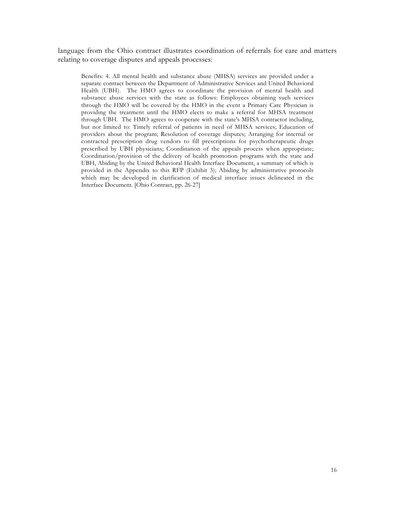language from the Ohio contract illustrates coordination of referrals for care and matters relating to coverage disputes and appeals processes:

Benefits: 4. All mental health and substance abuse (MHSA) services are provided under a separate contract between the Department of Administrative Services and United Behavioral Health (UBH). The HMO agrees to coordinate the provision of mental health and substance abuse services with the state as follows: Employees obtaining such services through the HMO will be covered by the HMO in the event a Primary Care Physician is providing the treatment until the HMO elects to make a referral for MHSA treatment through UBH. The HMO agrees to cooperate with the state's MHSA contractor including, but not limited to: Timely referral of patients in need of MHSA services; Education of providers about the program; Resolution of coverage disputes; Arranging for internal or contracted prescription drug vendors to fill prescriptions for psychotherapeutic drugs prescribed by UBH physicians; Coordination of the appeals process when appropriate; Coordination/provision of the delivery of health promotion programs with the state and UBH, Abiding by the United Behavioral Health Interface Document, a summary of which is provided in the Appendix to this RFP (Exhibit 3); Abiding by administrative protocols which may be developed in clarification of medical interface issues delineated in the Interface Document. [Ohio Contract, pp. 26-27]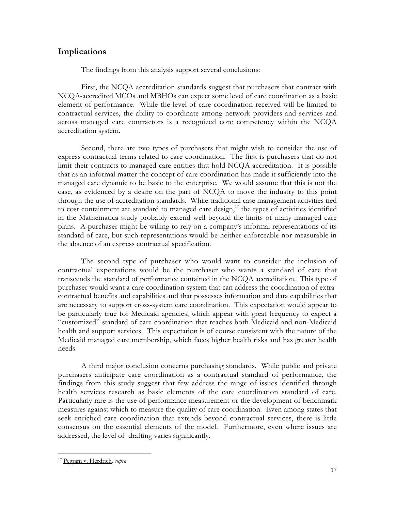# **Implications**

The findings from this analysis support several conclusions:

First, the NCQA accreditation standards suggest that purchasers that contract with NCQA-accredited MCOs and MBHOs can expect some level of care coordination as a basic element of performance. While the level of care coordination received will be limited to contractual services, the ability to coordinate among network providers and services and across managed care contractors is a recognized core competency within the NCQA accreditation system.

Second, there are two types of purchasers that might wish to consider the use of express contractual terms related to care coordination. The first is purchasers that do not limit their contracts to managed care entities that hold NCQA accreditation. It is possible that as an informal matter the concept of care coordination has made it sufficiently into the managed care dynamic to be basic to the enterprise. We would assume that this is not the case, as evidenced by a desire on the part of NCQA to move the industry to this point through the use of accreditation standards. While traditional case management activities tied to cost containment are standard to managed care design,<sup>17</sup> the types of activities identified in the Mathematica study probably extend well beyond the limits of many managed care plans. A purchaser might be willing to rely on a company's informal representations of its standard of care, but such representations would be neither enforceable nor measurable in the absence of an express contractual specification.

The second type of purchaser who would want to consider the inclusion of contractual expectations would be the purchaser who wants a standard of care that transcends the standard of performance contained in the NCQA accreditation. This type of purchaser would want a care coordination system that can address the coordination of extracontractual benefits and capabilities and that possesses information and data capabilities that are necessary to support cross-system care coordination. This expectation would appear to be particularly true for Medicaid agencies, which appear with great frequency to expect a "customized" standard of care coordination that reaches both Medicaid and non-Medicaid health and support services. This expectation is of course consistent with the nature of the Medicaid managed care membership, which faces higher health risks and has greater health needs.

A third major conclusion concerns purchasing standards. While public and private purchasers anticipate care coordination as a contractual standard of performance, the findings from this study suggest that few address the range of issues identified through health services research as basic elements of the care coordination standard of care. Particularly rare is the use of performance measurement or the development of benchmark measures against which to measure the quality of care coordination. Even among states that seek enriched care coordination that extends beyond contractual services, there is little consensus on the essential elements of the model. Furthermore, even where issues are addressed, the level of drafting varies significantly.

 <sup>17</sup> Pegram v. Herdrich*, supra*.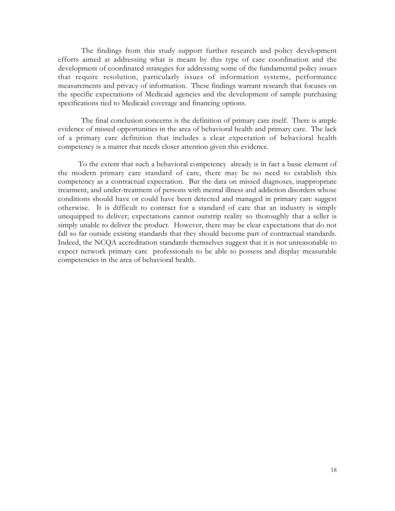The findings from this study support further research and policy development efforts aimed at addressing what is meant by this type of care coordination and the development of coordinated strategies for addressing some of the fundamental policy issues that require resolution, particularly issues of information systems, performance measurements and privacy of information. These findings warrant research that focuses on the specific expectations of Medicaid agencies and the development of sample purchasing specifications tied to Medicaid coverage and financing options.

The final conclusion concerns is the definition of primary care itself. There is ample evidence of missed opportunities in the area of behavioral health and primary care. The lack of a primary care definition that includes a clear expectation of behavioral health competency is a matter that needs closer attention given this evidence.

To the extent that such a behavioral competency already is in fact a basic element of the modern primary care standard of care, there may be no need to establish this competency as a contractual expectation. But the data on missed diagnoses, inappropriate treatment, and under-treatment of persons with mental illness and addiction disorders whose conditions should have or could have been detected and managed in primary care suggest otherwise. It is difficult to contract for a standard of care that an industry is simply unequipped to deliver; expectations cannot outstrip reality so thoroughly that a seller is simply unable to deliver the product. However, there may be clear expectations that do not fall so far outside existing standards that they should become part of contractual standards. Indeed, the NCQA accreditation standards themselves suggest that it is not unreasonable to expect network primary care professionals to be able to possess and display measurable competencies in the area of behavioral health.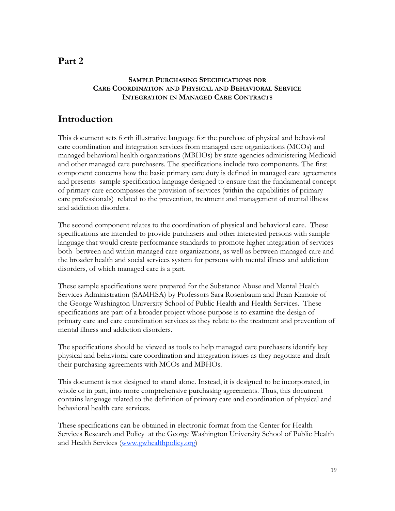# **Part 2**

# **SAMPLE PURCHASING SPECIFICATIONS FOR CARE COORDINATION AND PHYSICAL AND BEHAVIORAL SERVICE INTEGRATION IN MANAGED CARE CONTRACTS**

# **Introduction**

This document sets forth illustrative language for the purchase of physical and behavioral care coordination and integration services from managed care organizations (MCOs) and managed behavioral health organizations (MBHOs) by state agencies administering Medicaid and other managed care purchasers. The specifications include two components. The first component concerns how the basic primary care duty is defined in managed care agreements and presents sample specification language designed to ensure that the fundamental concept of primary care encompasses the provision of services (within the capabilities of primary care professionals) related to the prevention, treatment and management of mental illness and addiction disorders.

The second component relates to the coordination of physical and behavioral care. These specifications are intended to provide purchasers and other interested persons with sample language that would create performance standards to promote higher integration of services both between and within managed care organizations, as well as between managed care and the broader health and social services system for persons with mental illness and addiction disorders, of which managed care is a part.

These sample specifications were prepared for the Substance Abuse and Mental Health Services Administration (SAMHSA) by Professors Sara Rosenbaum and Brian Kamoie of the George Washington University School of Public Health and Health Services. These specifications are part of a broader project whose purpose is to examine the design of primary care and care coordination services as they relate to the treatment and prevention of mental illness and addiction disorders.

The specifications should be viewed as tools to help managed care purchasers identify key physical and behavioral care coordination and integration issues as they negotiate and draft their purchasing agreements with MCOs and MBHOs.

This document is not designed to stand alone. Instead, it is designed to be incorporated, in whole or in part, into more comprehensive purchasing agreements. Thus, this document contains language related to the definition of primary care and coordination of physical and behavioral health care services.

These specifications can be obtained in electronic format from the Center for Health Services Research and Policy at the George Washington University School of Public Health and Health Services (www.gwhealthpolicy.org)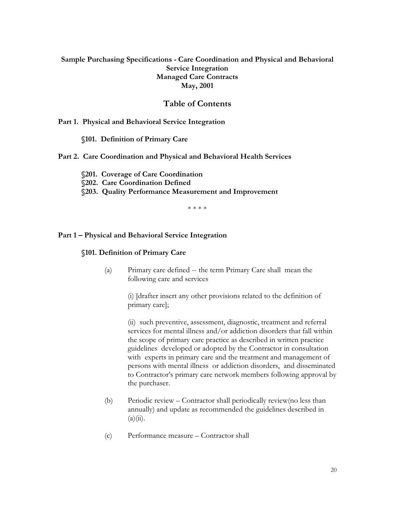## **Sample Purchasing Specifications - Care Coordination and Physical and Behavioral Service Integration Managed Care Contracts May, 2001**

# **Table of Contents**

**Part 1. Physical and Behavioral Service Integration**

**§101. Definition of Primary Care**

**Part 2. Care Coordination and Physical and Behavioral Health Services**

**§201. Coverage of Care Coordination §202. Care Coordination Defined**

**§203. Quality Performance Measurement and Improvement**

\* \* \* \*

#### **Part 1 – Physical and Behavioral Service Integration**

#### **§101. Definition of Primary Care**

(a) Primary care defined -- the term Primary Care shall mean the following care and services

> (i) [drafter insert any other provisions related to the definition of primary care];

(ii) such preventive, assessment, diagnostic, treatment and referral services for mental illness and/or addiction disorders that fall within the scope of primary care practice as described in written practice guidelines developed or adopted by the Contractor in consultation with experts in primary care and the treatment and management of persons with mental illness or addiction disorders, and disseminated to Contractor's primary care network members following approval by the purchaser.

- (b) Periodic review Contractor shall periodically review(no less than annually) and update as recommended the guidelines described in  $(a)(ii)$ .
- (c) Performance measure Contractor shall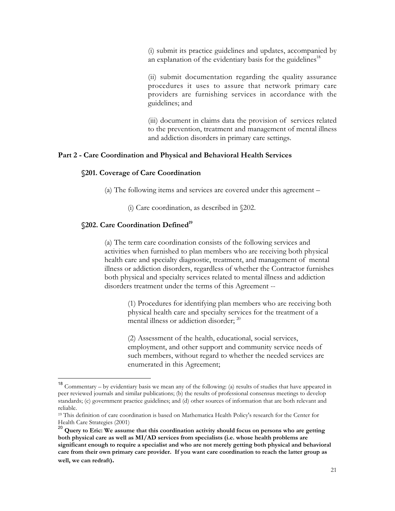(i) submit its practice guidelines and updates, accompanied by an explanation of the evidentiary basis for the guidelines<sup>18</sup>

(ii) submit documentation regarding the quality assurance procedures it uses to assure that network primary care providers are furnishing services in accordance with the guidelines; and

(iii) document in claims data the provision of services related to the prevention, treatment and management of mental illness and addiction disorders in primary care settings.

#### **Part 2 - Care Coordination and Physical and Behavioral Health Services**

#### **§201. Coverage of Care Coordination**

(a) The following items and services are covered under this agreement –

(i) Care coordination, as described in §202.

## §202. Care Coordination Defined<sup>19</sup>

(a) The term care coordination consists of the following services and activities when furnished to plan members who are receiving both physical health care and specialty diagnostic, treatment, and management of mental illness or addiction disorders, regardless of whether the Contractor furnishes both physical and specialty services related to mental illness and addiction disorders treatment under the terms of this Agreement --

> (1) Procedures for identifying plan members who are receiving both physical health care and specialty services for the treatment of a mental illness or addiction disorder;  $^{20}$

(2) Assessment of the health, educational, social services, employment, and other support and community service needs of such members, without regard to whether the needed services are enumerated in this Agreement;

<sup>18</sup> Commentary – by evidentiary basis we mean any of the following: (a) results of studies that have appeared in peer reviewed journals and similar publications; (b) the results of professional consensus meetings to develop standards; (c) government practice guidelines; and (d) other sources of information that are both relevant and reliable.

<sup>19</sup> This definition of care coordination is based on Mathematica Health Policy's research for the Center for Health Care Strategies (2001)

<sup>&</sup>lt;sup>20</sup> Query to Eric: We assume that this coordination activity should focus on persons who are getting **both physical care as well as MI/AD services from specialists (i.e. whose health problems are significant enough to require a specialist and who are not merely getting both physical and behavioral care from their own primary care provider. If you want care coordination to reach the latter group as well, we can redraft).**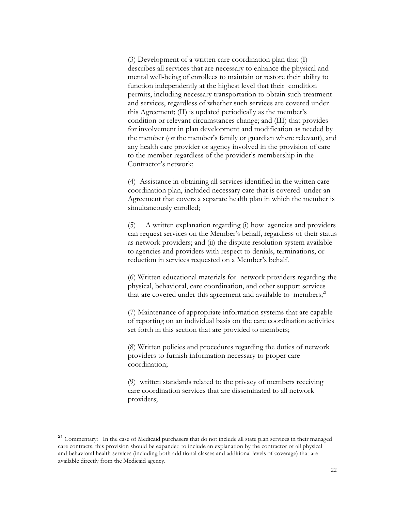(3) Development of a written care coordination plan that (I) describes all services that are necessary to enhance the physical and mental well-being of enrollees to maintain or restore their ability to function independently at the highest level that their condition permits, including necessary transportation to obtain such treatment and services, regardless of whether such services are covered under this Agreement; (II) is updated periodically as the member's condition or relevant circumstances change; and (III) that provides for involvement in plan development and modification as needed by the member (or the member's family or guardian where relevant), and any health care provider or agency involved in the provision of care to the member regardless of the provider's membership in the Contractor's network;

(4) Assistance in obtaining all services identified in the written care coordination plan, included necessary care that is covered under an Agreement that covers a separate health plan in which the member is simultaneously enrolled;

(5) A written explanation regarding (i) how agencies and providers can request services on the Member's behalf, regardless of their status as network providers; and (ii) the dispute resolution system available to agencies and providers with respect to denials, terminations, or reduction in services requested on a Member's behalf.

(6) Written educational materials for network providers regarding the physical, behavioral, care coordination, and other support services that are covered under this agreement and available to members; $^{21}$ 

(7) Maintenance of appropriate information systems that are capable of reporting on an individual basis on the care coordination activities set forth in this section that are provided to members;

(8) Written policies and procedures regarding the duties of network providers to furnish information necessary to proper care coordination;

(9) written standards related to the privacy of members receiving care coordination services that are disseminated to all network providers;

<sup>&</sup>lt;sup>21</sup> Commentary: In the case of Medicaid purchasers that do not include all state plan services in their managed care contracts, this provision should be expanded to include an explanation by the contractor of all physical and behavioral health services (including both additional classes and additional levels of coverage) that are available directly from the Medicaid agency.